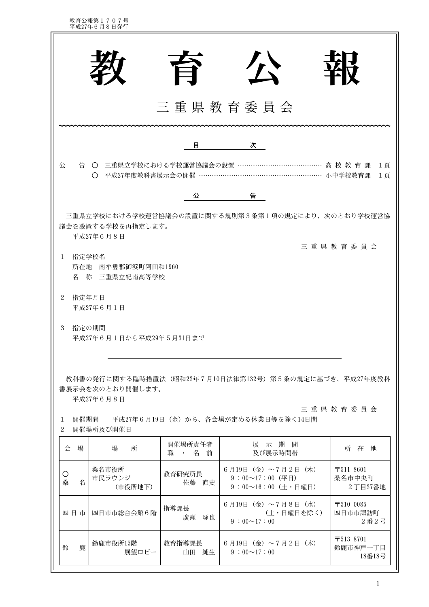教育公報第1707号<br>平成27年6月8日発行

|                                                                                                                                                                                                                                                                                                                                                         |                                                          |                    | ケ                                                                         |                                              |  |  |  |  |  |  |
|---------------------------------------------------------------------------------------------------------------------------------------------------------------------------------------------------------------------------------------------------------------------------------------------------------------------------------------------------------|----------------------------------------------------------|--------------------|---------------------------------------------------------------------------|----------------------------------------------|--|--|--|--|--|--|
|                                                                                                                                                                                                                                                                                                                                                         | 三重県教育委員会                                                 |                    |                                                                           |                                              |  |  |  |  |  |  |
|                                                                                                                                                                                                                                                                                                                                                         |                                                          | 目                  | 次                                                                         |                                              |  |  |  |  |  |  |
| 公                                                                                                                                                                                                                                                                                                                                                       | 告 ○ 三重県立学校における学校運営協議会の設置 ………<br>○ 平成27年度教科書展示会の開催 ……………… |                    | ……………………… 小中学校教育課                                                         | …………………… 高 校 教 育 課 1頁<br>1頁                  |  |  |  |  |  |  |
|                                                                                                                                                                                                                                                                                                                                                         |                                                          | 公                  | 告                                                                         |                                              |  |  |  |  |  |  |
| 三重県立学校における学校運営協議会の設置に関する規則第3条第1項の規定により、次のとおり学校運営協<br>議会を設置する学校を再指定します。<br>平成27年6月8日<br>三重県教育委員会<br>指定学校名<br>$\mathbf{1}$<br>所在地 南牟婁郡御浜町阿田和1960<br>名 称 三重県立紀南高等学校<br>$\overline{2}$<br>指定年月日<br>平成27年6月1日<br>3<br>指定の期間<br>平成27年6月1日から平成29年5月31日まで<br>教科書の発行に関する臨時措置法(昭和23年7月10日法律第132号)第5条の規定に基づき、平成27年度教科<br>書展示会を次のとおり開催します。<br>平成27年6月8日<br>三重県教育委員会 |                                                          |                    |                                                                           |                                              |  |  |  |  |  |  |
| $\mathbf{1}$<br>$\overline{2}$                                                                                                                                                                                                                                                                                                                          | 開催場所及び開催日                                                |                    | 開催期間 平成27年6月19日(金)から、各会場が定める休業日等を除く14日間                                   |                                              |  |  |  |  |  |  |
| 会 場                                                                                                                                                                                                                                                                                                                                                     | 場<br>所                                                   | 開催場所責任者<br>職 ・ 名 前 | 展示期間<br>及び展示時間帯                                                           | 所在地                                          |  |  |  |  |  |  |
| O<br>名<br>桑                                                                                                                                                                                                                                                                                                                                             | 桑名市役所<br>市民ラウンジ<br>(市役所地下)                               | 教育研究所長<br>佐藤 直史    | 6月19日 (金) ~7月2日 (木)<br>$9:00~17:00$ (平日)<br>9 : $00 \sim 16 : 00$ (土・日曜日) | $\overline{7}5118601$<br>桑名市中央町<br>2丁目37番地   |  |  |  |  |  |  |
| 四日市                                                                                                                                                                                                                                                                                                                                                     | 四日市市総合会館6階                                               | 指導課長<br>廣瀬 琢也      | 6月19日 (金) ~7月8日 (水)<br>(土・日曜日を除く)<br>$9:00 \sim 17:00$                    | $\overline{7}5100085$<br>四日市市諏訪町<br>2番2号     |  |  |  |  |  |  |
| 鹿<br>鈴                                                                                                                                                                                                                                                                                                                                                  | 鈴鹿市役所15階<br>展望ロビー                                        | 教育指導課長<br>山田 純生    | 6月19日 (金) ~7月2日 (木)<br>$9:00 \sim 17:00$                                  | $\overline{7}513$ 8701<br>鈴鹿市神戸一丁目<br>18番18号 |  |  |  |  |  |  |